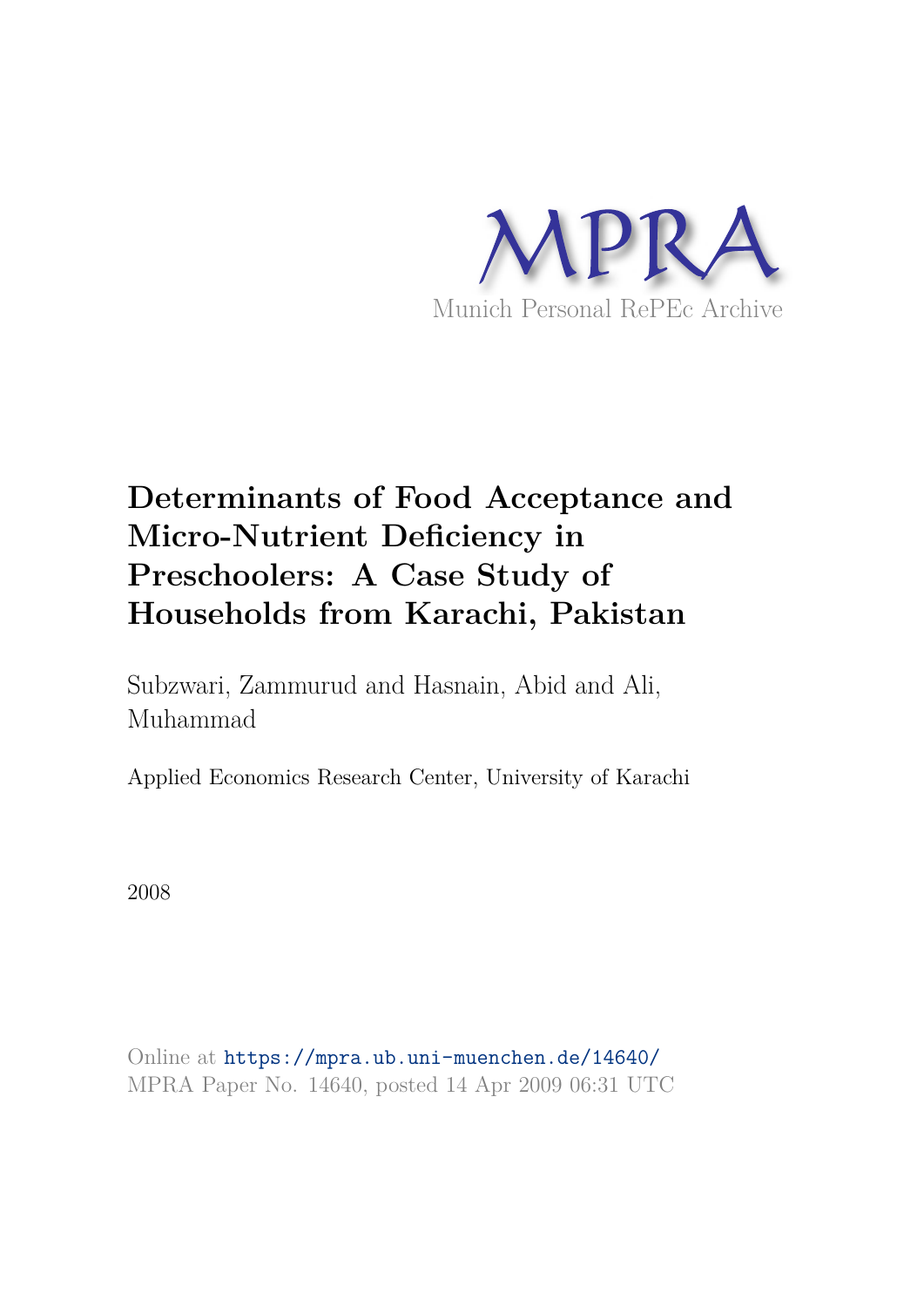

# **Determinants of Food Acceptance and Micro-Nutrient Deficiency in Preschoolers: A Case Study of Households from Karachi, Pakistan**

Subzwari, Zammurud and Hasnain, Abid and Ali, Muhammad

Applied Economics Research Center, University of Karachi

2008

Online at https://mpra.ub.uni-muenchen.de/14640/ MPRA Paper No. 14640, posted 14 Apr 2009 06:31 UTC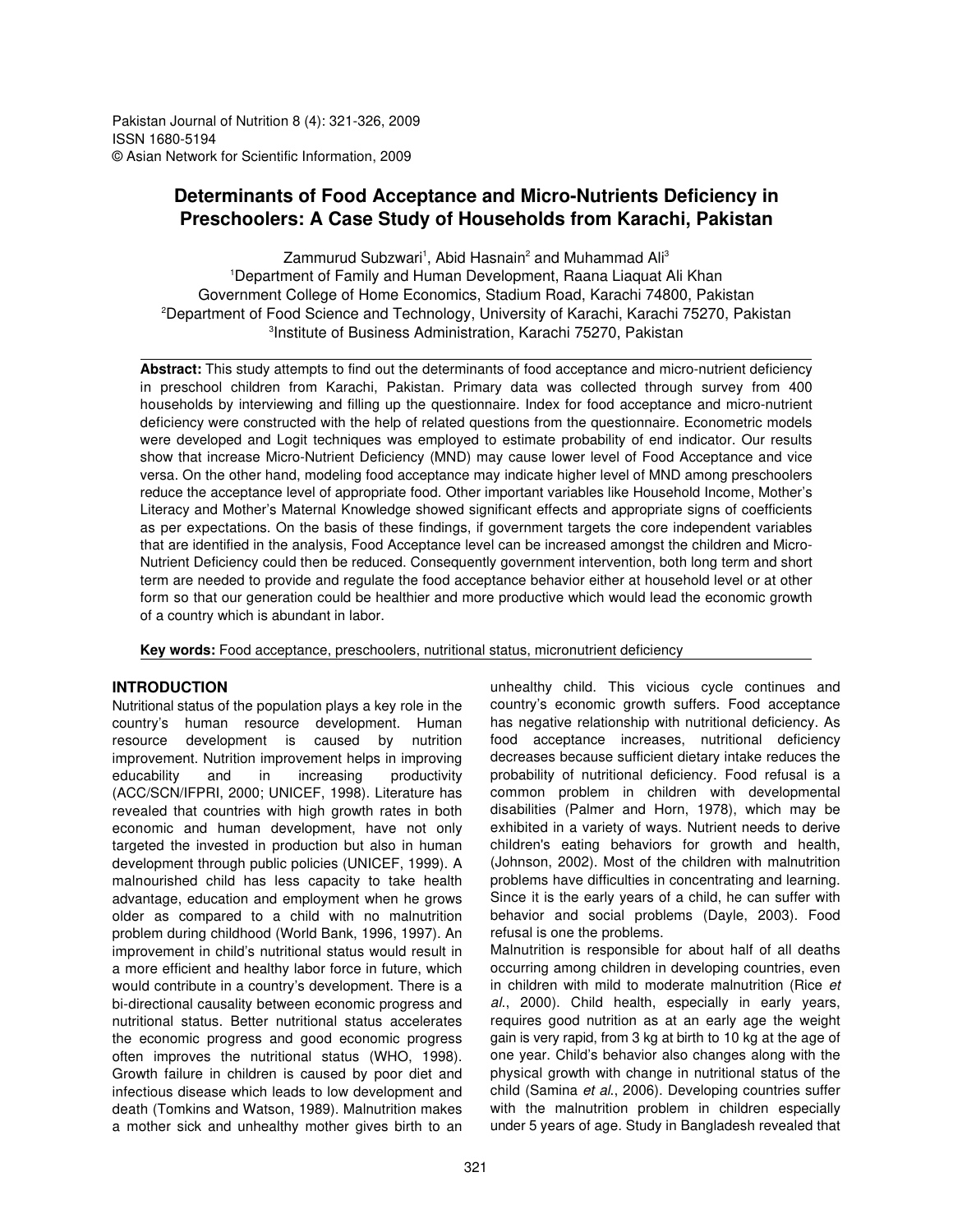Pakistan Journal of Nutrition 8 (4): 321-326, 2009 ISSN 1680-5194 © Asian Network for Scientific Information, 2009

# **Determinants of Food Acceptance and Micro-Nutrients Deficiency in Preschoolers: A Case Study of Households from Karachi, Pakistan**

Zammurud Subzwari<sup>1</sup>, Abid Hasnain<sup>2</sup> and Muhammad Ali<sup>3</sup> <sup>1</sup> Department of Family and Human Development, Raana Liaquat Ali Khan Government College of Home Economics, Stadium Road, Karachi 74800, Pakistan <sup>2</sup>Department of Food Science and Technology, University of Karachi, Karachi 75270, Pakistan <sup>3</sup>Institute of Business Administration, Karachi 75270, Pakistan

**Abstract:** This study attempts to find out the determinants of food acceptance and micro-nutrient deficiency in preschool children from Karachi, Pakistan. Primary data was collected through survey from 400 households by interviewing and filling up the questionnaire. Index for food acceptance and micro-nutrient deficiency were constructed with the help of related questions from the questionnaire. Econometric models were developed and Logit techniques was employed to estimate probability of end indicator. Our results show that increase Micro-Nutrient Deficiency (MND) may cause lower level of Food Acceptance and vice versa. On the other hand, modeling food acceptance may indicate higher level of MND among preschoolers reduce the acceptance level of appropriate food. Other important variables like Household Income, Mother's Literacy and Mother's Maternal Knowledge showed significant effects and appropriate signs of coefficients as per expectations. On the basis of these findings, if government targets the core independent variables that are identified in the analysis, Food Acceptance level can be increased amongst the children and Micro-Nutrient Deficiency could then be reduced. Consequently government intervention, both long term and short term are needed to provide and regulate the food acceptance behavior either at household level or at other form so that our generation could be healthier and more productive which would lead the economic growth of a country which is abundant in labor.

**Key words:** Food acceptance, preschoolers, nutritional status, micronutrient deficiency

# **INTRODUCTION**

Nutritional status of the population plays a key role in the country's human resource development. Human resource development is caused by nutrition improvement. Nutrition improvement helps in improving educability and in increasing productivity (ACC/SCN/IFPRI, 2000; UNICEF, 1998). Literature has revealed that countries with high growth rates in both economic and human development, have not only targeted the invested in production but also in human development through public policies (UNICEF, 1999). A malnourished child has less capacity to take health advantage, education and employment when he grows older as compared to a child with no malnutrition problem during childhood (World Bank, 1996, 1997). An improvement in child's nutritional status would result in a more efficient and healthy labor force in future, which would contribute in a country's development. There is a bi-directional causality between economic progress and nutritional status. Better nutritional status accelerates the economic progress and good economic progress often improves the nutritional status (WHO, 1998). Growth failure in children is caused by poor diet and infectious disease which leads to low development and death (Tomkins and Watson, 1989). Malnutrition makes a mother sick and unhealthy mother gives birth to an

unhealthy child. This vicious cycle continues and country's economic growth suffers. Food acceptance has negative relationship with nutritional deficiency. As food acceptance increases, nutritional deficiency decreases because sufficient dietary intake reduces the probability of nutritional deficiency. Food refusal is a common problem in children with developmental disabilities (Palmer and Horn, 1978), which may be exhibited in a variety of ways. Nutrient needs to derive children's eating behaviors for growth and health, (Johnson, 2002). Most of the children with malnutrition problems have difficulties in concentrating and learning. Since it is the early years of a child, he can suffer with behavior and social problems (Dayle, 2003). Food refusal is one the problems. Malnutrition is responsible for about half of all deaths

occurring among children in developing countries, even in children with mild to moderate malnutrition (Rice *et al*., 2000). Child health, especially in early years, requires good nutrition as at an early age the weight gain is very rapid, from 3 kg at birth to 10 kg at the age of one year. Child's behavior also changes along with the physical growth with change in nutritional status of the child (Samina *et al*., 2006). Developing countries suffer with the malnutrition problem in children especially under 5 years of age. Study in Bangladesh revealed that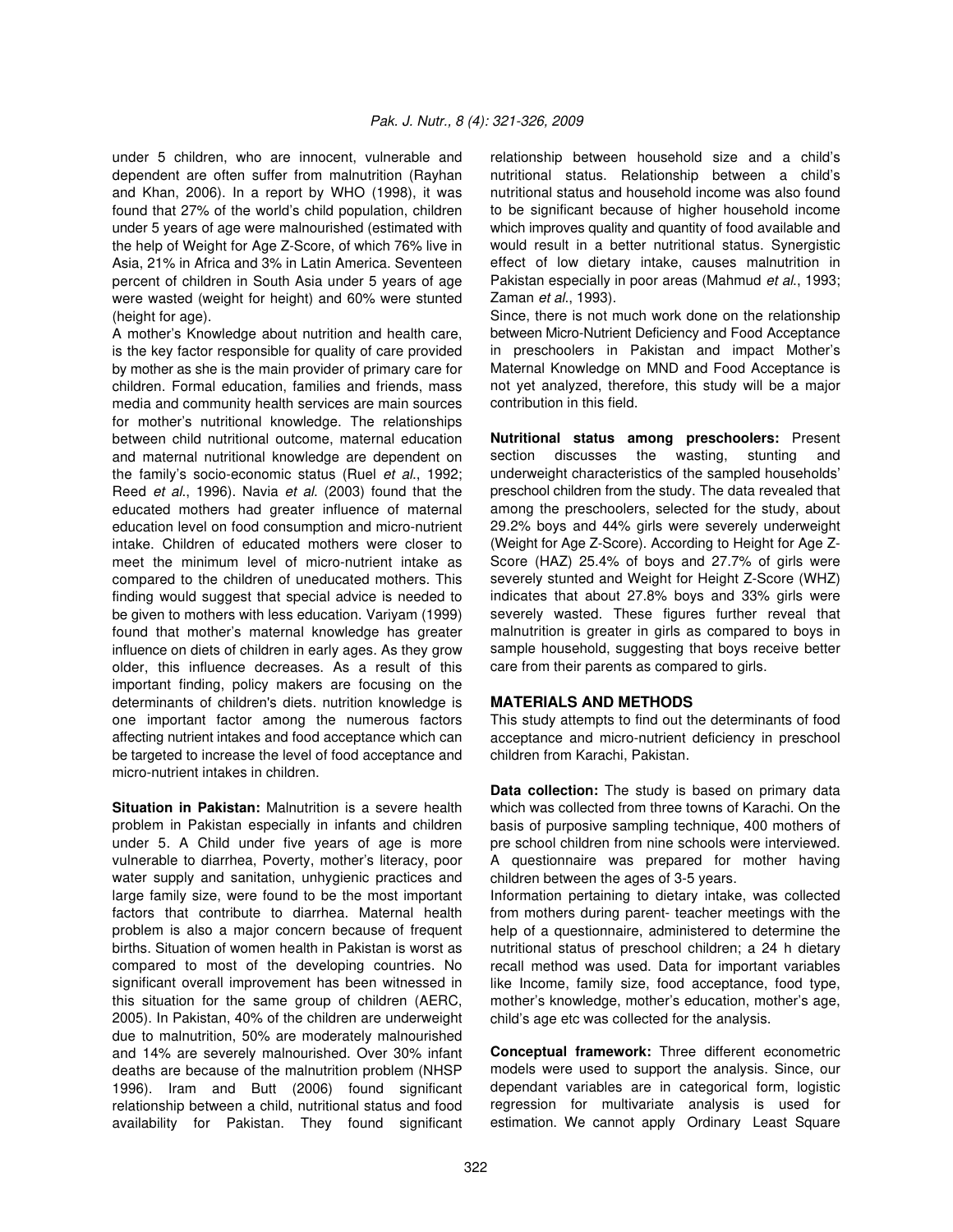under 5 children, who are innocent, vulnerable and relationship between household size and a child's dependent are often suffer from malnutrition (Rayhan and Khan, 2006). In a report by WHO (1998), it was found that 27% of the world's child population, children under 5 years of age were malnourished (estimated with the help of Weight for Age Z-Score, of which 76% live in Asia, 21% in Africa and 3% in Latin America. Seventeen percent of children in South Asia under 5 years of age were wasted (weight for height) and 60% were stunted (height for age).

A mother's Knowledge about nutrition and health care, is the key factor responsible for quality of care provided by mother as she is the main provider of primary care for children. Formal education, families and friends, mass media and community health services are main sources for mother's nutritional knowledge. The relationships between child nutritional outcome, maternal education and maternal nutritional knowledge are dependent on the family's socio-economic status (Ruel *et al*., 1992; Reed *et al*., 1996). Navia *et al*. (2003) found that the educated mothers had greater influence of maternal education level on food consumption and micro-nutrient intake. Children of educated mothers were closer to meet the minimum level of micro-nutrient intake as compared to the children of uneducated mothers. This finding would suggest that special advice is needed to be given to mothers with less education. Variyam (1999) found that mother's maternal knowledge has greater influence on diets of children in early ages. As they grow older, this influence decreases. As a result of this important finding, policy makers are focusing on the determinants of children's diets. nutrition knowledge is one important factor among the numerous factors affecting nutrient intakes and food acceptance which can be targeted to increase the level of food acceptance and micro-nutrient intakes in children.

**Situation in Pakistan:** Malnutrition is a severe health problem in Pakistan especially in infants and children under 5. A Child under five years of age is more vulnerable to diarrhea, Poverty, mother's literacy, poor water supply and sanitation, unhygienic practices and large family size, were found to be the most important factors that contribute to diarrhea. Maternal health problem is also a major concern because of frequent births. Situation of women health in Pakistan is worst as compared to most of the developing countries. No significant overall improvement has been witnessed in this situation for the same group of children (AERC, 2005). In Pakistan, 40% of the children are underweight due to malnutrition, 50% are moderately malnourished and 14% are severely malnourished. Over 30% infant deaths are because of the malnutrition problem (NHSP 1996). Iram and Butt (2006) found significant relationship between a child, nutritional status and food availability for Pakistan. They found significant

nutritional status. Relationship between a child's nutritional status and household income was also found to be significant because of higher household income which improves quality and quantity of food available and would result in a better nutritional status. Synergistic effect of low dietary intake, causes malnutrition in Pakistan especially in poor areas (Mahmud *et al*., 1993; Zaman *et al*., 1993).

Since, there is not much work done on the relationship between Micro-Nutrient Deficiency and Food Acceptance in preschoolers in Pakistan and impact Mother's Maternal Knowledge on MND and Food Acceptance is not yet analyzed, therefore, this study will be a major contribution in this field.

**Nutritional status among preschoolers:** Present section discusses the wasting, stunting and underweight characteristics of the sampled households' preschool children from the study. The data revealed that among the preschoolers, selected for the study, about 29.2% boys and 44% girls were severely underweight (Weight for Age Z-Score). According to Height for Age Z-Score (HAZ) 25.4% of boys and 27.7% of girls were severely stunted and Weight for Height Z-Score (WHZ) indicates that about 27.8% boys and 33% girls were severely wasted. These figures further reveal that malnutrition is greater in girls as compared to boys in sample household, suggesting that boys receive better care from their parents as compared to girls.

# **MATERIALS AND METHODS**

This study attempts to find out the determinants of food acceptance and micro-nutrient deficiency in preschool children from Karachi, Pakistan.

**Data collection:** The study is based on primary data which was collected from three towns of Karachi. On the basis of purposive sampling technique, 400 mothers of pre school children from nine schools were interviewed. A questionnaire was prepared for mother having children between the ages of 3-5 years.

Information pertaining to dietary intake, was collected from mothers during parent- teacher meetings with the help of a questionnaire, administered to determine the nutritional status of preschool children; a 24 h dietary recall method was used. Data for important variables like Income, family size, food acceptance, food type, mother's knowledge, mother's education, mother's age, child's age etc was collected for the analysis.

**Conceptual framework:** Three different econometric models were used to support the analysis. Since, our dependant variables are in categorical form, logistic regression for multivariate analysis is used for estimation. We cannot apply Ordinary Least Square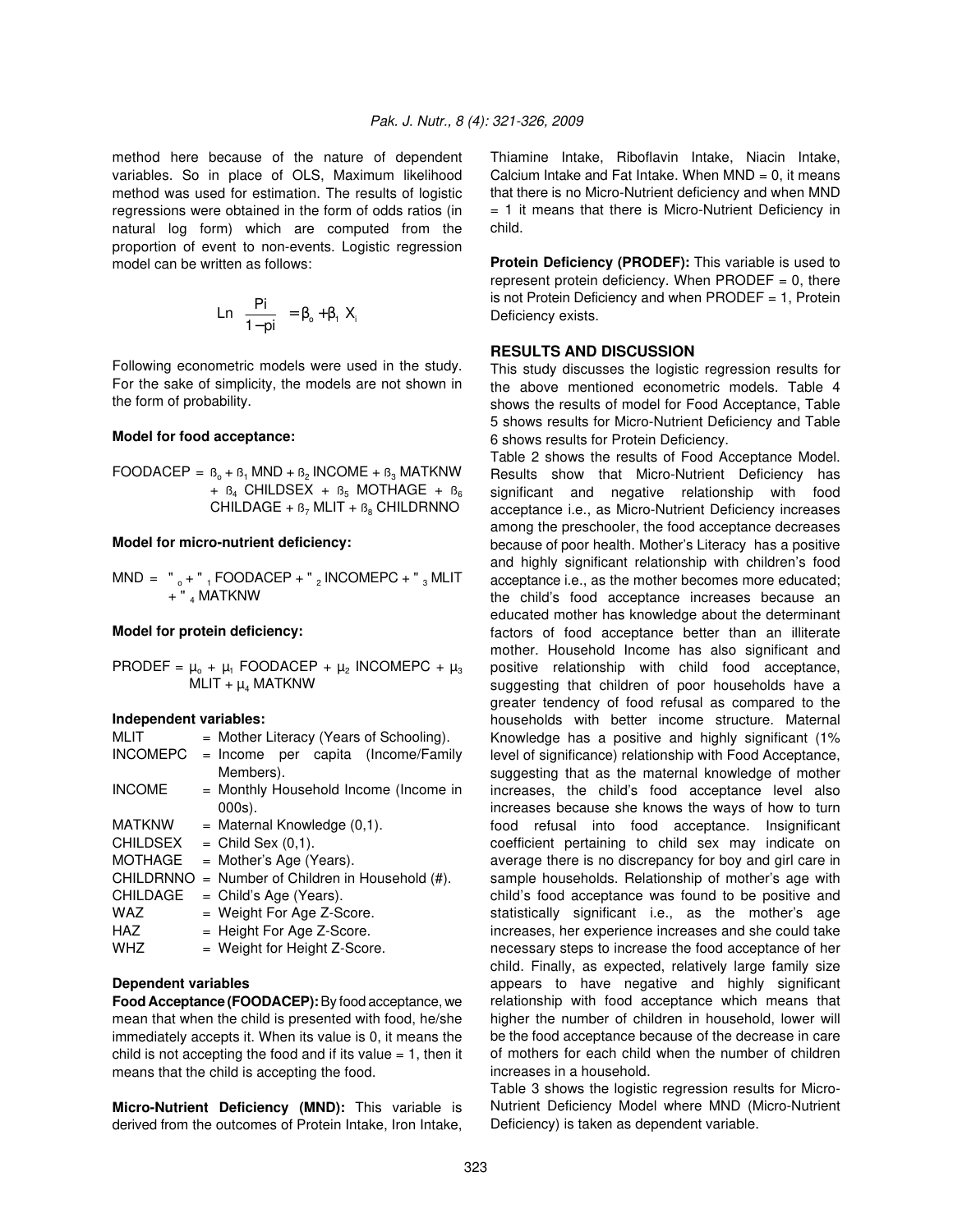variables. So in place of OLS, Maximum likelihood method was used for estimation. The results of logistic regressions were obtained in the form of odds ratios (in natural log form) which are computed from the proportion of event to non-events. Logistic regression model can be written as follows:

$$
Ln\left(\frac{Pi}{1-pi}\right) = \beta_o + \beta_1 X_i
$$

Following econometric models were used in the study. For the sake of simplicity, the models are not shown in the form of probability.

#### **Model for food acceptance:**

FOODACEP =  $B_0 + B_1$  MND +  $B_2$  INCOME +  $B_3$  MATKNW +  $B_4$  CHILDSEX +  $B_5$  MOTHAGE +  $B_6$ CHILDAGE +  $B_7$  MLIT +  $B_8$  CHILDRNNO

#### **Model for micro-nutrient deficiency:**

 $MND = "_0 + "_1 FOODACEP + "_2 INCOMEPC + "_3 MLIT$ + " <sub>4</sub> MATKNW

#### **Model for protein deficiency:**

 $\mathsf{PRODEF} = \mu_{\circ} + \mu_1 \; \mathsf{FOODACEP} + \mu_2 \; \mathsf{INCOMEPC} + \mu_3$ MLIT +  $\mu_4$  MATKNW

#### **Independent variables:**

| MLIT            | $=$ Mother Literacy (Years of Schooling).    |  |  |
|-----------------|----------------------------------------------|--|--|
| <b>INCOMEPC</b> | = Income per capita (Income/Family           |  |  |
|                 | Members).                                    |  |  |
| <b>INCOME</b>   | = Monthly Household Income (Income in        |  |  |
|                 | $000s$ ).                                    |  |  |
| <b>MATKNW</b>   | $=$ Maternal Knowledge $(0,1)$ .             |  |  |
| CHILDSEX        | $=$ Child Sex $(0,1)$ .                      |  |  |
| MOTHAGE         | $=$ Mother's Age (Years).                    |  |  |
| CHILDRNNO       | $=$ Number of Children in Household $(\#)$ . |  |  |
| CHILDAGE        | $=$ Child's Age (Years).                     |  |  |
| WAZ             | $=$ Weight For Age Z-Score.                  |  |  |
| HAZ             | $=$ Height For Age Z-Score.                  |  |  |
| WHZ             | $=$ Weight for Height Z-Score.               |  |  |

### **Dependent variables**

**Food Acceptance (FOODACEP):** By food acceptance, we mean that when the child is presented with food, he/she immediately accepts it. When its value is 0, it means the child is not accepting the food and if its value  $= 1$ , then it means that the child is accepting the food.

**Micro-Nutrient Deficiency (MND):** This variable is derived from the outcomes of Protein Intake, Iron Intake,

method here because of the nature of dependent Thiamine Intake, Riboflavin Intake, Niacin Intake, Calcium Intake and Fat Intake. When  $MND = 0$ , it means that there is no Micro-Nutrient deficiency and when MND  $= 1$  it means that there is Micro-Nutrient Deficiency in child.

> **Protein Deficiency (PRODEF):** This variable is used to represent protein deficiency. When PRODEF  $= 0$ , there is not Protein Deficiency and when PRODEF = 1, Protein Deficiency exists.

## **RESULTS AND DISCUSSION**

This study discusses the logistic regression results for the above mentioned econometric models. Table 4 shows the results of model for Food Acceptance, Table 5 shows results for Micro-Nutrient Deficiency and Table 6 shows results for Protein Deficiency.

statistically significant i.e., as the mother's age Table 2 shows the results of Food Acceptance Model. Results show that Micro-Nutrient Deficiency has significant and negative relationship with food acceptance i.e., as Micro-Nutrient Deficiency increases among the preschooler, the food acceptance decreases because of poor health. Mother's Literacy has a positive and highly significant relationship with children's food acceptance i.e., as the mother becomes more educated; the child's food acceptance increases because an educated mother has knowledge about the determinant factors of food acceptance better than an illiterate mother. Household Income has also significant and positive relationship with child food acceptance, suggesting that children of poor households have a greater tendency of food refusal as compared to the households with better income structure. Maternal Knowledge has a positive and highly significant (1% level of significance) relationship with Food Acceptance, suggesting that as the maternal knowledge of mother increases, the child's food acceptance level also increases because she knows the ways of how to turn food refusal into food acceptance. Insignificant coefficient pertaining to child sex may indicate on average there is no discrepancy for boy and girl care in sample households. Relationship of mother's age with child's food acceptance was found to be positive and increases, her experience increases and she could take necessary steps to increase the food acceptance of her child. Finally, as expected, relatively large family size appears to have negative and highly significant relationship with food acceptance which means that higher the number of children in household, lower will be the food acceptance because of the decrease in care of mothers for each child when the number of children increases in a household.

Table 3 shows the logistic regression results for Micro-Nutrient Deficiency Model where MND (Micro-Nutrient Deficiency) is taken as dependent variable.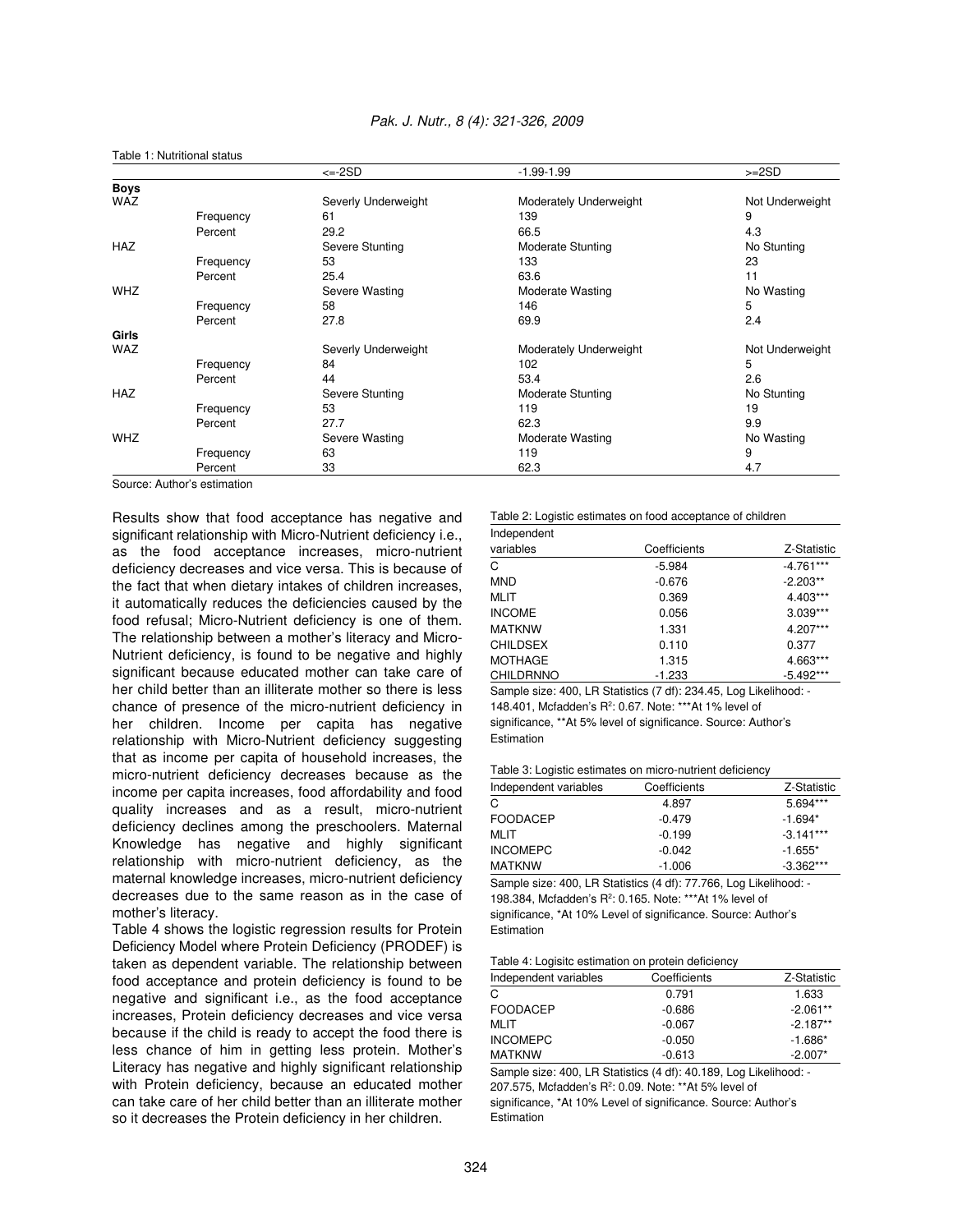|              |           | $\leftarrow$ -2SD   | $-1.99 - 1.99$           | $>=2SD$         |
|--------------|-----------|---------------------|--------------------------|-----------------|
| <b>Boys</b>  |           |                     |                          |                 |
| <b>WAZ</b>   |           | Severly Underweight | Moderately Underweight   | Not Underweight |
|              | Frequency | 61                  | 139                      | 9               |
|              | Percent   | 29.2                | 66.5                     | 4.3             |
| <b>HAZ</b>   |           | Severe Stunting     | <b>Moderate Stunting</b> | No Stunting     |
|              | Frequency | 53                  | 133                      | 23              |
|              | Percent   | 25.4                | 63.6                     | 11              |
| <b>WHZ</b>   |           | Severe Wasting      | Moderate Wasting         | No Wasting      |
|              | Frequency | 58                  | 146                      | 5               |
|              | Percent   | 27.8                | 69.9                     | 2.4             |
| <b>Girls</b> |           |                     |                          |                 |
| WAZ          |           | Severly Underweight | Moderately Underweight   | Not Underweight |
|              | Frequency | 84                  | 102                      | 5               |
|              | Percent   | 44                  | 53.4                     | 2.6             |
| <b>HAZ</b>   |           | Severe Stunting     | <b>Moderate Stunting</b> | No Stunting     |
|              | Frequency | 53                  | 119                      | 19              |
|              | Percent   | 27.7                | 62.3                     | 9.9             |
| <b>WHZ</b>   |           | Severe Wasting      | Moderate Wasting         | No Wasting      |
|              | Frequency | 63                  | 119                      | 9               |
|              | Percent   | 33                  | 62.3                     | 4.7             |

#### *Pak. J. Nutr., 8 (4): 321-326, 2009*

Source: Author's estimation

Table 1: Nutritional status

Results show that food acceptance has negative and significant relationship with Micro-Nutrient deficiency i.e., as the food acceptance increases, micro-nutrient deficiency decreases and vice versa. This is because of the fact that when dietary intakes of children increases, it automatically reduces the deficiencies caused by the food refusal; Micro-Nutrient deficiency is one of them. The relationship between a mother's literacy and Micro-Nutrient deficiency, is found to be negative and highly significant because educated mother can take care of her child better than an illiterate mother so there is less chance of presence of the micro-nutrient deficiency in her children. Income per capita has negative relationship with Micro-Nutrient deficiency suggesting that as income per capita of household increases, the micro-nutrient deficiency decreases because as the income per capita increases, food affordability and food quality increases and as a result, micro-nutrient deficiency declines among the preschoolers. Maternal Knowledge has negative and highly significant relationship with micro-nutrient deficiency, as the maternal knowledge increases, micro-nutrient deficiency decreases due to the same reason as in the case of mother's literacy.

Table 4 shows the logistic regression results for Protein Deficiency Model where Protein Deficiency (PRODEF) is taken as dependent variable. The relationship between food acceptance and protein deficiency is found to be negative and significant i.e., as the food acceptance increases, Protein deficiency decreases and vice versa because if the child is ready to accept the food there is less chance of him in getting less protein. Mother's Literacy has negative and highly significant relationship with Protein deficiency, because an educated mother can take care of her child better than an illiterate mother so it decreases the Protein deficiency in her children.

#### Table 2: Logistic estimates on food acceptance of children Independent

| <b>INDUPCHOLIL</b> |              |             |  |
|--------------------|--------------|-------------|--|
| variables          | Coefficients | Z-Statistic |  |
| C                  | $-5.984$     | $-4.761***$ |  |
| <b>MND</b>         | $-0.676$     | $-2.203**$  |  |
| <b>MLIT</b>        | 0.369        | 4.403***    |  |
| <b>INCOME</b>      | 0.056        | $3.039***$  |  |
| <b>MATKNW</b>      | 1.331        | 4.207***    |  |
| <b>CHILDSEX</b>    | 0.110        | 0.377       |  |
| <b>MOTHAGE</b>     | 1.315        | 4.663***    |  |
| <b>CHILDRNNO</b>   | $-1.233$     | $-5.492***$ |  |

Sample size: 400, LR Statistics (7 df): 234.45, Log Likelihood: - 148.401, Mcfadden's R<sup>2</sup>: 0.67. Note: \*\*\* At 1% level of significance, \*\*At 5% level of significance. Source: Author's Estimation

#### Table 3: Logistic estimates on micro-nutrient deficiency

| Independent variables | Coefficients | Z-Statistic |
|-----------------------|--------------|-------------|
| C                     | 4.897        | 5.694***    |
| FOODACEP              | $-0.479$     | $-1.694*$   |
| MLIT                  | $-0.199$     | $-3.141***$ |
| <b>INCOMEPC</b>       | $-0.042$     | $-1.655*$   |
| MATKNW                | $-1.006$     | $-3.362***$ |

Sample size: 400, LR Statistics (4 df): 77.766, Log Likelihood: - 198.384, Mcfadden's R<sup>2</sup>: 0.165. Note: \*\*\*At 1% level of significance, \*At 10% Level of significance. Source: Author's Estimation

#### Table 4: Logisitc estimation on protein deficiency

| Independent variables | Coefficients | Z-Statistic |
|-----------------------|--------------|-------------|
| С                     | 0.791        | 1.633       |
| FOODACEP              | $-0.686$     | $-2.061**$  |
| MLIT                  | $-0.067$     | $-2.187**$  |
| <b>INCOMEPC</b>       | $-0.050$     | $-1.686*$   |
| <b>MATKNW</b>         | $-0.613$     | $-2.007*$   |

Sample size: 400, LR Statistics (4 df): 40.189, Log Likelihood: - 207.575, Mcfadden's R<sup>2</sup>: 0.09. Note: \*\* At 5% level of significance, \*At 10% Level of significance. Source: Author's **Estimation**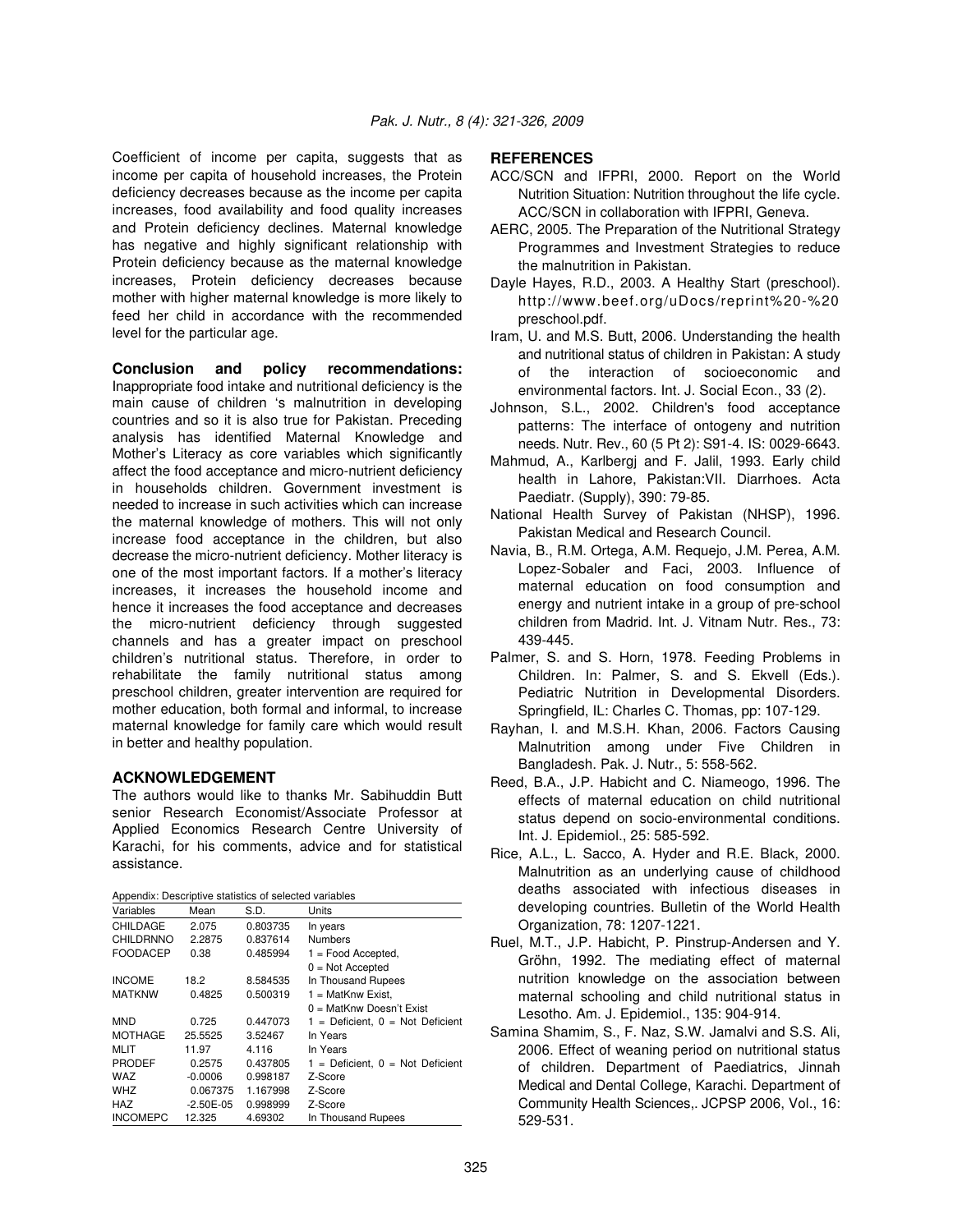Coefficient of income per capita, suggests that as income per capita of household increases, the Protein deficiency decreases because as the income per capita increases, food availability and food quality increases and Protein deficiency declines. Maternal knowledge has negative and highly significant relationship with Protein deficiency because as the maternal knowledge increases, Protein deficiency decreases because mother with higher maternal knowledge is more likely to feed her child in accordance with the recommended level for the particular age.

**Conclusion and policy recommendations:** Inappropriate food intake and nutritional deficiency is the main cause of children 's malnutrition in developing countries and so it is also true for Pakistan. Preceding analysis has identified Maternal Knowledge and Mother's Literacy as core variables which significantly affect the food acceptance and micro-nutrient deficiency in households children. Government investment is needed to increase in such activities which can increase the maternal knowledge of mothers. This will not only increase food acceptance in the children, but also decrease the micro-nutrient deficiency. Mother literacy is one of the most important factors. If a mother's literacy increases, it increases the household income and hence it increases the food acceptance and decreases the micro-nutrient deficiency through suggested channels and has a greater impact on preschool children's nutritional status. Therefore, in order to rehabilitate the family nutritional status among preschool children, greater intervention are required for mother education, both formal and informal, to increase maternal knowledge for family care which would result in better and healthy population.

### **ACKNOWLEDGEMENT**

The authors would like to thanks Mr. Sabihuddin Butt senior Research Economist/Associate Professor at Applied Economics Research Centre University of Karachi, for his comments, advice and for statistical assistance.

Appendix: Descriptive statistics of selected variables

| Variables       | Mean        | S.D.     | Units                                |
|-----------------|-------------|----------|--------------------------------------|
| CHILDAGE        | 2.075       | 0.803735 | In years                             |
| CHILDRNNO       | 2.2875      | 0.837614 | <b>Numbers</b>                       |
| <b>FOODACEP</b> | 0.38        | 0.485994 | $1 =$ Food Accepted,                 |
|                 |             |          | $0 = Not$ Accepted                   |
| <b>INCOME</b>   | 18.2        | 8.584535 | In Thousand Rupees                   |
| <b>MATKNW</b>   | 0.4825      | 0.500319 | $1 = \text{MatKnw Exist}$ ,          |
|                 |             |          | $0 = \text{MatKnw Doesn't Exist}$    |
| MND             | 0.725       | 0.447073 | $1 =$ Deficient, $0 =$ Not Deficient |
| <b>MOTHAGE</b>  | 25.5525     | 3.52467  | In Years                             |
| MLIT            | 11.97       | 4.116    | In Years                             |
| <b>PRODEF</b>   | 0.2575      | 0.437805 | $1 =$ Deficient, $0 =$ Not Deficient |
| WAZ             | $-0.0006$   | 0.998187 | Z-Score                              |
| <b>WHZ</b>      | 0.067375    | 1.167998 | Z-Score                              |
| HAZ             | $-2.50E-05$ | 0.998999 | Z-Score                              |
| <b>INCOMEPC</b> | 12.325      | 4.69302  | In Thousand Rupees                   |

# **REFERENCES**

- ACC/SCN and IFPRI, 2000. Report on the World Nutrition Situation: Nutrition throughout the life cycle. ACC/SCN in collaboration with IFPRI, Geneva.
- AERC, 2005. The Preparation of the Nutritional Strategy Programmes and Investment Strategies to reduce the malnutrition in Pakistan.
- Dayle Hayes, R.D., 2003. A Healthy Start (preschool). http://www.beef.org/uDocs/reprint%20-%20 preschool.pdf.
- Iram, U. and M.S. Butt, 2006. Understanding the health and nutritional status of children in Pakistan: A study of the interaction of socioeconomic and environmental factors. Int. J. Social Econ., 33 (2).
- Johnson, S.L., 2002. Children's food acceptance patterns: The interface of ontogeny and nutrition needs. Nutr. Rev., 60 (5 Pt 2): S91-4. IS: 0029-6643.
- Mahmud, A., Karlbergj and F. Jalil, 1993. Early child health in Lahore, Pakistan:VII. Diarrhoes. Acta Paediatr. (Supply), 390: 79-85.
- National Health Survey of Pakistan (NHSP), 1996. Pakistan Medical and Research Council.
- Navia, B., R.M. Ortega, A.M. Requejo, J.M. Perea, A.M. Lopez-Sobaler and Faci, 2003. Influence of maternal education on food consumption and energy and nutrient intake in a group of pre-school children from Madrid. Int. J. Vitnam Nutr. Res., 73: 439-445.
- Palmer, S. and S. Horn, 1978. Feeding Problems in Children. In: Palmer, S. and S. Ekvell (Eds.). Pediatric Nutrition in Developmental Disorders. Springfield, IL: Charles C. Thomas, pp: 107-129.
- Rayhan, I. and M.S.H. Khan, 2006. Factors Causing Malnutrition among under Five Children in Bangladesh. Pak. J. Nutr., 5: 558-562.
- Reed, B.A., J.P. Habicht and C. Niameogo, 1996. The effects of maternal education on child nutritional status depend on socio-environmental conditions. Int. J. Epidemiol., 25: 585-592.
- Rice, A.L., L. Sacco, A. Hyder and R.E. Black, 2000. Malnutrition as an underlying cause of childhood deaths associated with infectious diseases in developing countries. Bulletin of the World Health Organization, 78: 1207-1221.
- Ruel, M.T., J.P. Habicht, P. Pinstrup-Andersen and Y. Gröhn, 1992. The mediating effect of maternal nutrition knowledge on the association between maternal schooling and child nutritional status in Lesotho. Am. J. Epidemiol., 135: 904-914.
- Samina Shamim, S., F. Naz, S.W. Jamalvi and S.S. Ali, 2006. Effect of weaning period on nutritional status of children. Department of Paediatrics, Jinnah Medical and Dental College, Karachi. Department of Community Health Sciences,. JCPSP 2006, Vol., 16: 529-531.